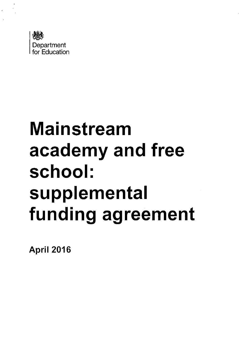

# **Mainstream academy and free school: supplemental funding agreement**

April 2016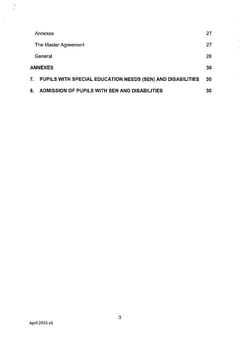|    | Annexes                                                    | 27 |  |
|----|------------------------------------------------------------|----|--|
|    | The Master Agreement                                       | 27 |  |
|    | General                                                    | 28 |  |
|    | <b>ANNEXES</b>                                             |    |  |
| 7. | PUPILS WITH SPECIAL EDUCATION NEEDS (SEN) AND DISABILITIES | 30 |  |
| 8. | ADMISSION OF PUPILS WITH SEN AND DISABILITIES              | 30 |  |

 $\frac{1}{2}$ 

 $\hat{\mathcal{A}}$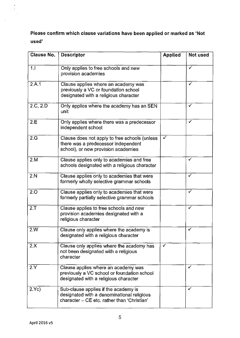Please confirm which clause variations have been applied or marked as 'Not used'

| <b>Clause No.</b> | <b>Descriptor</b>                                                                                                                 | <b>Applied</b> | Not used     |
|-------------------|-----------------------------------------------------------------------------------------------------------------------------------|----------------|--------------|
| 1.1               | Only applies to free schools and new<br>provision academies                                                                       |                | ✓            |
| 2.A.1             | Clause applies where an academy was<br>previously a VC or foundation school<br>designated with a religious character              |                | ✓            |
| 2.C, 2.D          | Only applies where the academy has an SEN<br>unit                                                                                 |                | $\checkmark$ |
| 2.E               | Only applies where there was a predecessor<br>independent school                                                                  |                | ✓            |
| 2.G               | Clause does not apply to free schools (unless<br>there was a predecessor independent<br>school), or new provision academies       | ✓              |              |
| 2.M               | Clause applies only to academies and free<br>schools designated with a religious character                                        |                | ✔            |
| 2.N               | Clause applies only to academies that were<br>formerly wholly selective grammar schools                                           |                | ✓            |
| 2.0               | Clause applies only to academies that were<br>formerly partially selective grammar schools                                        |                | ✓            |
| 2. T              | Clause applies to free schools and new<br>provision academies designated with a<br>religious character                            |                |              |
| 2.W               | Clause only applies where the academy is<br>designated with a religious character                                                 |                | $\checkmark$ |
| 2.X               | Clause only applies where the academy has<br>not been designated with a religious<br>character                                    | ✓              |              |
| 2.Y               | Clause applies where an academy was<br>previously a VC school or foundation school<br>designated with a religious character       |                | ✓            |
| 2.Yc)             | Sub-clause applies if the academy is<br>designated with a denominational religious<br>character - CE etc. rather than 'Christian' |                | ✓            |

 $\frac{1}{2}$ 

 $\overline{\phantom{a}}$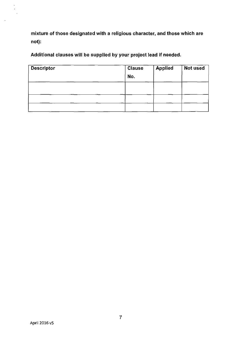mixture of those designated with a religious character, and those which are not):

Additional clauses will be supplied by your project lead if needed.

| <b>Descriptor</b> | <b>Clause</b><br>No. | <b>Applied</b> | Not used |  |
|-------------------|----------------------|----------------|----------|--|
|                   |                      |                |          |  |
|                   |                      |                |          |  |
|                   |                      |                |          |  |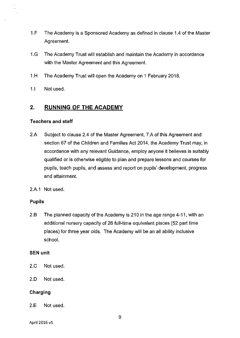- 1.F The Academy is a Sponsored Academy as defined in clause 1.4 of the Master Agreement.
- 1.G The Academy Trust will establish and maintain the Academy in accordance with the Master Agreement and this Agreement.
- 1.H The Academy Trust will open the Academy on 1 February 2018.
- 1.1 Not used.

# **2. RUNNING OF THE ACADEMY**

#### **Teachers and staff**

- 2.A Subject to clause 2.4 of the Master Agreement, 7.A of this Agreement and section 67 of the Children and Families Act 2014, the Academy Trust may, in accordance with any relevant Guidance, employ anyone it believes is suitably qualified or is otherwise eligible to plan and prepare lessons and courses for pupils, teach pupils, and assess and report on pupils' development, progress and attainment.
- 2.A.1 Not used.

## **Pupils**

2.B The planned capacity of the Academy is 210 in the age range 4-11, with an additional nursery capacity of 26 full-time equivalent places (52 part time places) for three year olds. The Academy will be an all ability inclusive school.

#### **SEN unit**

- 2.C Not used.
- 2.0 Not used.

## **Charging**

2.E Not used.

April 2016 v5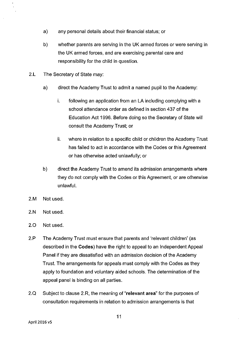- a) any personal details about their financial status; or
- b) whether parents are serving in the UK armed forces or were serving in the UK armed forces, and are exercising parental care and responsibility for the child in question.
- 2.L The Secretary of State may:
	- a) direct the Academy Trust to admit a named pupil to the Academy:
		- i. following an application from an LA including complying with a school attendance order as defined in section 437 of the Education Act 1996. Before doing so the Secretary of State will consult the Academy Trust; or
		- ii. where in relation to a specific child or children the Academy Trust has failed to act in accordance with the Codes or this Agreement or has otherwise acted unlawfully; or
	- b) direct the Academy Trust to amend its admission arrangements where they do not comply with the Codes or this Agreement, or are otherwise unlawful.
- 2.M Not used.
- 2.N Not used.
- 2.0 Not used.
- 2.P The Academy Trust must ensure that parents and 'relevant children' (as described in the Codes) have the right to appeal to an Independent Appeal Panel if they are dissatisfied with an admission decision of the Academy Trust. The arrangements for appeals must comply with the Codes as they apply to foundation and voluntary aided schools. The determination of the appeal panel is binding on all parties.
- 2.Q Subject to clause 2.R, the meaning of "relevant area" for the purposes of consultation requirements in relation to admission arrangements is that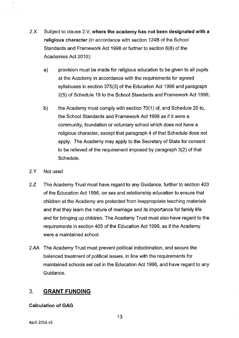- 2.X Subject to clause 2.V, where the academy has not been designated with a religious character (in accordance with section 124B of the School Standards and Framework Act 1998 or further to section 6(8) of the Academies Act 2010):
	- a) provision must be made for religious education to be given to all pupils at the Academy in accordance with the requirements for agreed syllabuses in section 375(3) of the Education Act 1996 and paragraph 2(5) of Schedule 19 to the School Standards and Framework Act 1998;
	- b) the Academy must comply with section 70(1) of, and Schedule 20 to, the School Standards and Framework Act 1998 as if it were a community, foundation or voluntary school which does not have a religious character, except that paragraph 4 of that Schedule does not apply. The Academy may apply to the Secretary of State for consent to be relieved of the requirement imposed by paragraph 3(2) of that Schedule.
- 2.Y Not used
- 2.Z The Academy Trust must have regard to any Guidance, further to section 403 of the Education Act 1996, on sex and relationship education to ensure that children at the Academy are protected from inappropriate teaching materials and that they learn the nature of marriage and its importance for family life and for bringing up children. The Academy Trust must also have regard to the requirements in section 405 of the Education Act 1996, as if the Academy were a maintained school.
- 2.AA The Academy Trust must prevent political indoctrination, and secure the balanced treatment of political issues, in line with the requirements for maintained schools set out in the Education Act 1996, and have regard to any Guidance.

# 3. **GRANT FUNDING**

# Calculation of GAG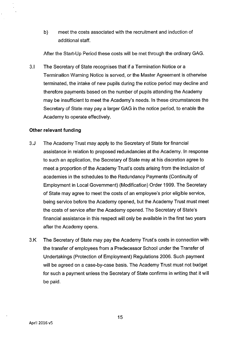b) meet the costs associated with the recruitment and induction of additional staff.

After the Start-Up Period these costs will be met through the ordinary GAG.

3.1 The Secretary of State recognises that if a Termination Notice or a Termination Warning Notice is served, or the Master Agreement is otherwise terminated, the intake of new pupils during the notice period may decline and therefore payments based on the number of pupils attending the Academy may be insufficient to meet the Academy's needs. In these circumstances the Secretary of State may pay a larger GAG in the notice period, to enable the Academy to operate effectively.

#### **Other relevant funding**

- 3.J The Academy Trust may apply to the Secretary of State for financial assistance in relation to proposed redundancies at the Academy. In response to such an application, the Secretary of State may at his discretion agree to meet a proportion of the Academy Trust's costs arising from the inclusion of acadernies in the schedules to the Redundancy Payments (Continuity of Employment in Local Government) (Modification) Order 1999. The Secretary of State may agree to meet the costs of an employee's prior eligible service, being service before the Academy opened, but the Academy Trust must meet the costs of service after the Academy opened. The Secretary of State's financial assistance in this respect will only be available in the first two years after the Academy opens.
- 3.K The Secretary of State may pay the Academy Trust's costs in connection with the transfer of employees from a Predecessor School under the Transfer of Undertakings (Protection of Employment) Regulations 2006. Such payment will be agreed on a case-by-case basis. The Academy Trust must not budget for such a payment unless the Secretary of State confirms in writing that it will be paid.

15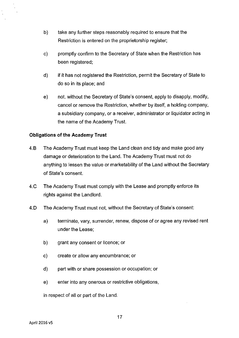- b) take any further steps reasonably required to ensure that the Restriction is entered on the proprietorship register;
- c) promptly confirm to the Secretary of State when the Restriction has been registered;
- d) if it has not registered the Restriction, permit the Secretary of State to do so in its place; and
- e) not, without the Secretary of State's consent, apply to disapply, modify, cancel or remove the Restriction, whether by itself, a holding company, a subsidiary company, or a receiver, administrator or liquidator acting in the name of the Academy Trust.

## **Obligations of the Academy Trust**

- 4.B The Academy Trust must keep the Land clean and tidy and make good any damage or deterioration to the Land. The Academy Trust must not do anything to lessen the value or marketability of the Land without the Secretary of State's consent.
- 4.C The Academy Trust must comply with the Lease and promptly enforce its rights against the Landlord.
- 4.0 The Academy Trust must not, without the Secretary of State's consent:
	- a) terminate, vary, surrender, renew, dispose of or agree any revised rent under the Lease;
	- b) grant any consent or licence; or
	- c) create or allow any encumbrance; or
	- d) part with or share possession or occupation; or
	- e) enter into any onerous or restrictive obligations,

in respect of all or part of the Land.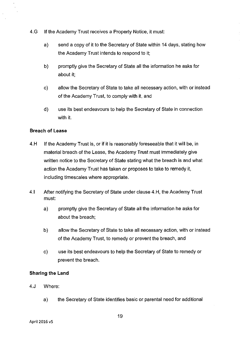- 4.G **If** the Academy Trust receives a Property Notice, it must:
	- a) send a copy of it to the Secretary of State within 14 days, stating how the Academy Trust intends to respond to it;
	- b) promptly give the Secretary of State all the information he asks for about it;
	- c) allow the Secretary of State to take all necessary action, with or instead of the Academy Trust, to comply with it, and
	- d) use its best endeavours to help the Secretary of State in connection with it.

## **Breach of Lease**

- 4.H **If** the Academy Trust is, or if it is reasonably foreseeable that it will be, in material breach of the Lease, the Academy Trust must immediately give written notice to the Secretary of State stating what the breach is and what action the Academy Trust has taken or proposes to take to remedy it, including timescales where appropriate.
- 4.1 After notifying the Secretary of State under clause 4.H, the Academy Trust must:
	- a) promptly give the Secretary of State all the information he asks for about the breach;
	- b) allow the Secretary of State to take all necessary action, with or instead of the Academy Trust, to remedy or prevent the breach, and
	- c) use its best endeavours to help the Secretary of State to remedy or prevent the breach.

#### **Sharing the Land**

- 4.J Where:
	- a) the Secretary of State identifies basic or parental need for additional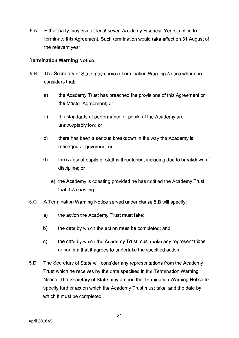5.A Either party may give at least seven Academy Financial Years' notice to terminate this Agreement. Such termination would take effect on 31 August of the relevant year.

#### **Termination Warning Notice**

- 5.B The Secretary of State may serve a Termination Warning Notice where he considers that:
	- a) the Academy Trust has breached the provisions of this Agreement or the Master Agreement; or
	- b) the standards of performance of pupils at the Academy are unacceptably low; or
	- c) there has been a serious breakdown in the way the Academy is managed or governed; or
	- d) the safety of pupils or staff is threatened, including due to breakdown of discipline; or
		- e) the Academy is coasting provided he has notified the Academy Trust that it is coasting.
- 5.C A Termination Warning Notice served under clause 5.B will specify:
	- a) the action the Academy Trust must take;
	- b) the date by which the action must be completed; and
	- c) the date by which the Academy Trust must make any representations, or confirm that it agrees to undertake the specified action.
- 5.0 The Secretary of State will consider any representations from the Academy Trust which he receives by the date specified in the Termination Warning Notice. The Secretary of State may amend the Termination Warning Notice to specify further action which the Academy Trust must take, and the date by which it must be completed.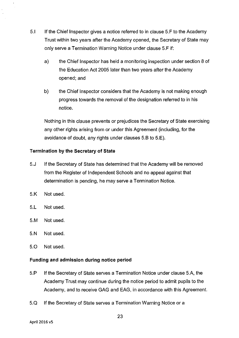- 5.1 If the Chief Inspector gives a notice referred to in clause 5.F to the Academy Trust within two years after the Academy opened, the Secretary of State may only serve a Termination Waming Notice under clause 5.F if:
	- a) the Chief Inspector has held a monitoring inspection under section 8 of the Education Act 2005 later than two years after the Academy opened; and
	- b) the Chief Inspector considers that the Academy is not making enough progress towards the removal of the designation referred to in his notice.

Nothing in this clause prevents or prejudices the Secretary of State exercising any other rights arising from or under this Agreement (including, for the avoidance of doubt, any rights under clauses 5.B to 5.E).

## **Termination by the Secretary of State**

- 5.J If the Secretary of State has determined that the Academy will be removed from the Register of Independent Schools and no appeal against that determination is pending, he may serve a Termination Notice.
- 5.K Not used.
- 5.L Not used.
- 5.M Not used.
- 5.N Not used.
- 5.0 Not used.

## **Funding and admission during notice period**

- 5.P If the Secretary of State serves a Termination Notice under clause 5.A, the Academy Trust may continue during the notice period to admit pupils to the Academy, and to receive GAG and EAG, in accordance with this Agreement.
- 5.Q If the Secretary of State serves a Termination Warning Notice or a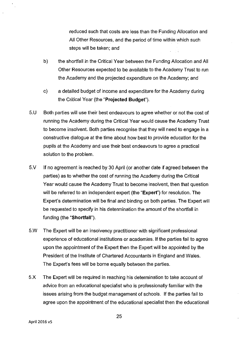reduced such that costs are less than the Funding Allocation and All Other Resources, and the period of time within which such steps will be taken; and

- b) the shortfall in the Critical Year between the Funding Allocation and All Other Resources expected to be available to the Academy Trust to run the Academy and the projected expenditure on the Academy; and
- c) a detailed budget of income and expenditure for the Academy during the Critical Year (the **"Projected** Budget").
- 5.U Both parties will use their best endeavours to agree whether or not the cost of running the Academy during the Critical Year would cause the Academy Trust to become insolvent. Both parties recognise that they will need to engage in a constructive dialogue at the time about how best to provide education for the pupils at the Academy and use their best endeavours to agree a practical solution to the problem.
- 5.V If no agreement is reached by 30 April (or another date if agreed between the parties) as to whether the cost of running the Academy during the Critical Year would cause the Academy Trust to become insolvent, then that question will be referred to an independent expert (the "Expert") for resolution. The Expert's determination will be final and binding on both parties. The Expert will be requested to specify in his determination the amount of the shortfall in funding (the "Shortfall").
- 5.w The Expert will be an insolvency practitioner with significant professional experience of educational institutions or academies. If the parties fail to agree upon the appointment of the Expert then the Expert will be appointed by the President of the Institute of Chartered Accountants in England and Wales. The Expert's fees will be bome equally between the parties.
- 5.x The Expert will be required in reaching his determination to take account of advice from an educational specialist who is professionally familiar with the issues arising from the budget management of schools. If the parties fail to agree upon the appointment of the educational specialist then the educational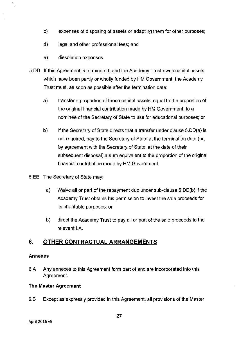- c) expenses of disposing of assets or adapting them for other purposes;
- d) legal and other professional fees; and
- e) dissolution expenses.
- 5.00 If this Agreement is terminated, and the Academy Trust owns capital assets which have been partly or wholly funded by HM Government, the Academy Trust must, as soon as possible after the termination date:
	- a) transfer a proportion of those capital assets, equal to the proportion of the original financial contribution made by HM Government, to a nominee of the Secretary of State to use for educational purposes; or
	- b) if the Secretary of State directs that a transfer under clause 5.D0(a) is not required, pay to the Secretary of State at the termination date (or, by agreement with the Secretary of State, at the date of their subsequent disposal) a sum equivalent to the proportion of the original financial contribution made by HM Government.
- 5.EE The Secretary of State may:
	- a) Waive all or part of the repayment due under sub-clause 5.00(b) if the Academy Trust obtains his perrnission to invest the sale proceeds for its charitable purposes; or
	- b) direct the Acaderny Trust to pay all or part of the sale proceeds to the relevant LA.

# **6. OTHER CONTRACTUAL ARRANGEMENTS**

## **Annexes**

6.A Any annexes to this Agreement form part of and are incorporated into this Agreement.

## **The Master Agreement**

6.B Except as expressly provided in this Agreement, all provisions of the Master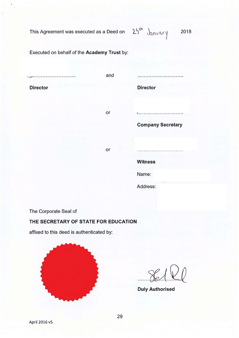This Agreement was executed as a Deed on

25th January 2018

Executed on behalf of the Academy Trust by:

. . . . . . . . . . . . . . . . . . . .

and

**Director** 

**Director** 

or

**Company Secretary** 

or

**Witness** 

Name:

Address:

The Corporate Seal of

#### THE SECRETARY OF STATE FOR EDUCATION

affixed to this deed is authenticated by:



**Duly Authorised**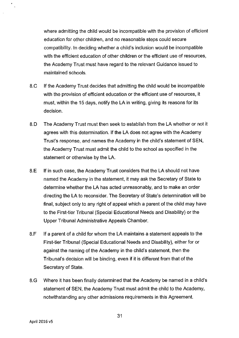where admitting the child would be incompatible with the provision of efficient education for other children, and no reasonable steps could secure compatibility. In deciding whether a child's inclusion would be incompatible with the efficient education of other children or the efficient use of resources, the Academy Trust must have regard to the relevant Guidance issued to maintained schools.

- 8.C If the Academy Trust decides that admitting the child would be incompatible with the provision of efficient education or the efficient use of resources, it must, within the 15 days, notify the LA in writing, giving its reasons for its decision.
- 8.0 The Academy Trust must then seek to establish from the LA whether or not it agrees with this determination. If the LA does not agree with the Academy Trust's response, and names the Academy in the child's statement of SEN, the Academy Trust must admit the child to the school as specified in the statement or otherwise by the LA.
- 8.E If in such case, the Academy Trust considers that the LA should not have named the Academy in the statement, it may ask the Secretary of State to determine whether the LA has acted unreasonably, and to make an order directing the LA to reconsider. The Secretary of State's determination will be final, subject only to any right of appeal which a parent of the child may have to the First-tier Tribunal (Special Educational Needs and Disability) or the Upper Tribunal Administrative Appeals Chamber.
- 8.F If a parent of a child for whom the LA maintains a statement appeals to the First-tier Tribunal (Special Educational Needs and Disability), either for or against the naming of the Academy in the child's statement, then the Tribunal's decision will be binding, even if it is different from that of the Secretary of State.
- 8.G Where it has been finally determined that the Academy be named in a child's statement of SEN, the Academy Trust must admit the child to the Academy, notwithstanding any other admissions requirements in this Agreement.

31